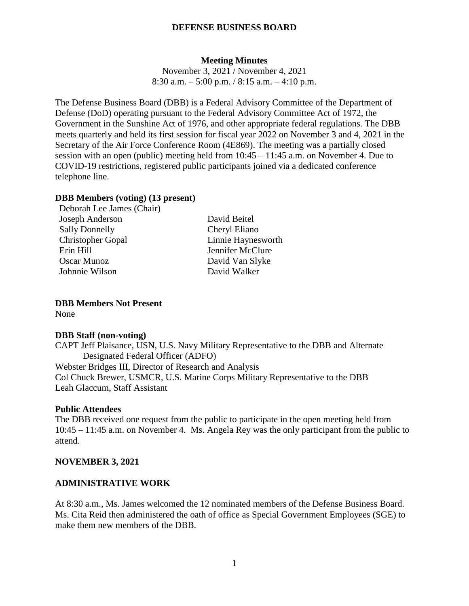#### **Meeting Minutes**

November 3, 2021 / November 4, 2021 8:30 a.m.  $-5:00$  p.m.  $/ 8:15$  a.m.  $-4:10$  p.m.

The Defense Business Board (DBB) is a Federal Advisory Committee of the Department of Defense (DoD) operating pursuant to the Federal Advisory Committee Act of 1972, the Government in the Sunshine Act of 1976, and other appropriate federal regulations. The DBB meets quarterly and held its first session for fiscal year 2022 on November 3 and 4, 2021 in the Secretary of the Air Force Conference Room (4E869). The meeting was a partially closed session with an open (public) meeting held from 10:45 – 11:45 a.m. on November 4. Due to COVID-19 restrictions, registered public participants joined via a dedicated conference telephone line.

#### **DBB Members (voting) (13 present)**

| Deborah Lee James (Chair) |                    |
|---------------------------|--------------------|
| Joseph Anderson           | David Beitel       |
| <b>Sally Donnelly</b>     | Cheryl Eliano      |
| <b>Christopher Gopal</b>  | Linnie Haynesworth |
| Erin Hill                 | Jennifer McClure   |
| <b>Oscar Munoz</b>        | David Van Slyke    |
| Johnnie Wilson            | David Walker       |
|                           |                    |

**DBB Members Not Present**

None

#### **DBB Staff (non-voting)**

CAPT Jeff Plaisance, USN, U.S. Navy Military Representative to the DBB and Alternate Designated Federal Officer (ADFO) Webster Bridges III, Director of Research and Analysis Col Chuck Brewer, USMCR, U.S. Marine Corps Military Representative to the DBB Leah Glaccum, Staff Assistant

#### **Public Attendees**

The DBB received one request from the public to participate in the open meeting held from 10:45 – 11:45 a.m. on November 4. Ms. Angela Rey was the only participant from the public to attend.

#### **NOVEMBER 3, 2021**

#### **ADMINISTRATIVE WORK**

At 8:30 a.m., Ms. James welcomed the 12 nominated members of the Defense Business Board. Ms. Cita Reid then administered the oath of office as Special Government Employees (SGE) to make them new members of the DBB.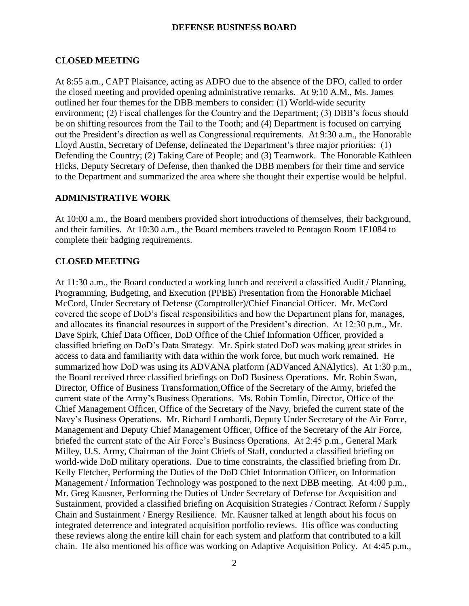# **CLOSED MEETING**

At 8:55 a.m., CAPT Plaisance, acting as ADFO due to the absence of the DFO, called to order the closed meeting and provided opening administrative remarks. At 9:10 A.M., Ms. James outlined her four themes for the DBB members to consider: (1) World-wide security environment; (2) Fiscal challenges for the Country and the Department; (3) DBB's focus should be on shifting resources from the Tail to the Tooth; and (4) Department is focused on carrying out the President's direction as well as Congressional requirements. At 9:30 a.m., the Honorable Lloyd Austin, Secretary of Defense, delineated the Department's three major priorities: (1) Defending the Country; (2) Taking Care of People; and (3) Teamwork. The Honorable Kathleen Hicks, Deputy Secretary of Defense, then thanked the DBB members for their time and service to the Department and summarized the area where she thought their expertise would be helpful.

# **ADMINISTRATIVE WORK**

At 10:00 a.m., the Board members provided short introductions of themselves, their background, and their families. At 10:30 a.m., the Board members traveled to Pentagon Room 1F1084 to complete their badging requirements.

# **CLOSED MEETING**

At 11:30 a.m., the Board conducted a working lunch and received a classified Audit / Planning, Programming, Budgeting, and Execution (PPBE) Presentation from the Honorable Michael McCord, Under Secretary of Defense (Comptroller)/Chief Financial Officer. Mr. McCord covered the scope of DoD's fiscal responsibilities and how the Department plans for, manages, and allocates its financial resources in support of the President's direction. At 12:30 p.m., Mr. Dave Spirk, Chief Data Officer, DoD Office of the Chief Information Officer, provided a classified briefing on DoD's Data Strategy. Mr. Spirk stated DoD was making great strides in access to data and familiarity with data within the work force, but much work remained. He summarized how DoD was using its ADVANA platform (ADVanced ANAlytics). At 1:30 p.m., the Board received three classified briefings on DoD Business Operations. Mr. Robin Swan, Director, Office of Business Transformation,Office of the Secretary of the Army, briefed the current state of the Army's Business Operations. Ms. Robin Tomlin, Director, Office of the Chief Management Officer, Office of the Secretary of the Navy, briefed the current state of the Navy's Business Operations. Mr. Richard Lombardi, Deputy Under Secretary of the Air Force, Management and Deputy Chief Management Officer, Office of the Secretary of the Air Force, briefed the current state of the Air Force's Business Operations. At 2:45 p.m., General Mark Milley, U.S. Army, Chairman of the Joint Chiefs of Staff, conducted a classified briefing on world-wide DoD military operations. Due to time constraints, the classified briefing from Dr. Kelly Fletcher, Performing the Duties of the DoD Chief Information Officer, on Information Management / Information Technology was postponed to the next DBB meeting. At 4:00 p.m., Mr. Greg Kausner, Performing the Duties of Under Secretary of Defense for Acquisition and Sustainment, provided a classified briefing on Acquisition Strategies / Contract Reform / Supply Chain and Sustainment / Energy Resilience. Mr. Kausner talked at length about his focus on integrated deterrence and integrated acquisition portfolio reviews. His office was conducting these reviews along the entire kill chain for each system and platform that contributed to a kill chain. He also mentioned his office was working on Adaptive Acquisition Policy. At 4:45 p.m.,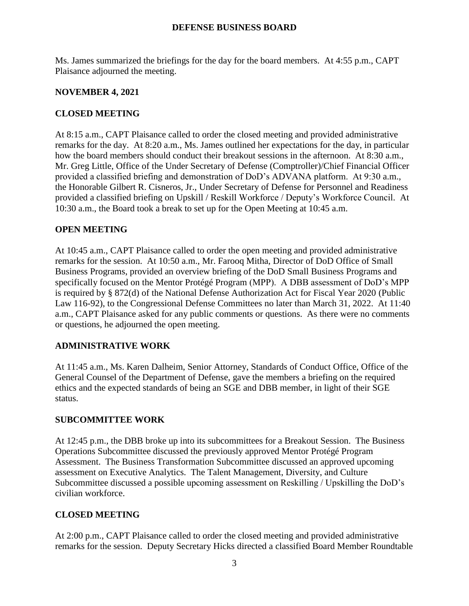Ms. James summarized the briefings for the day for the board members. At 4:55 p.m., CAPT Plaisance adjourned the meeting.

## **NOVEMBER 4, 2021**

# **CLOSED MEETING**

At 8:15 a.m., CAPT Plaisance called to order the closed meeting and provided administrative remarks for the day. At 8:20 a.m., Ms. James outlined her expectations for the day, in particular how the board members should conduct their breakout sessions in the afternoon. At 8:30 a.m., Mr. Greg Little, Office of the Under Secretary of Defense (Comptroller)/Chief Financial Officer provided a classified briefing and demonstration of DoD's ADVANA platform. At 9:30 a.m., the Honorable Gilbert R. Cisneros, Jr., Under Secretary of Defense for Personnel and Readiness provided a classified briefing on Upskill / Reskill Workforce / Deputy's Workforce Council. At 10:30 a.m., the Board took a break to set up for the Open Meeting at 10:45 a.m.

# **OPEN MEETING**

At 10:45 a.m., CAPT Plaisance called to order the open meeting and provided administrative remarks for the session. At 10:50 a.m., Mr. Farooq Mitha, Director of DoD Office of Small Business Programs, provided an overview briefing of the DoD Small Business Programs and specifically focused on the Mentor Protégé Program (MPP). A DBB assessment of DoD's MPP is required by § 872(d) of the National Defense Authorization Act for Fiscal Year 2020 (Public Law 116-92), to the Congressional Defense Committees no later than March 31, 2022. At 11:40 a.m., CAPT Plaisance asked for any public comments or questions. As there were no comments or questions, he adjourned the open meeting.

### **ADMINISTRATIVE WORK**

At 11:45 a.m., Ms. Karen Dalheim, Senior Attorney, Standards of Conduct Office, Office of the General Counsel of the Department of Defense, gave the members a briefing on the required ethics and the expected standards of being an SGE and DBB member, in light of their SGE status.

### **SUBCOMMITTEE WORK**

At 12:45 p.m., the DBB broke up into its subcommittees for a Breakout Session. The Business Operations Subcommittee discussed the previously approved Mentor Protégé Program Assessment. The Business Transformation Subcommittee discussed an approved upcoming assessment on Executive Analytics. The Talent Management, Diversity, and Culture Subcommittee discussed a possible upcoming assessment on Reskilling / Upskilling the DoD's civilian workforce.

### **CLOSED MEETING**

At 2:00 p.m., CAPT Plaisance called to order the closed meeting and provided administrative remarks for the session. Deputy Secretary Hicks directed a classified Board Member Roundtable